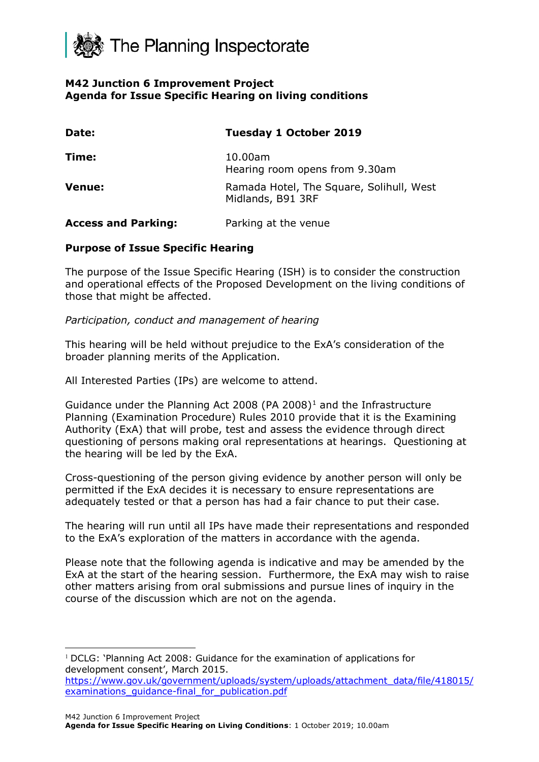

## **M42 Junction 6 Improvement Project Agenda for Issue Specific Hearing on living conditions**

| Date:                      | <b>Tuesday 1 October 2019</b>                                 |
|----------------------------|---------------------------------------------------------------|
| Time:                      | 10.00am<br>Hearing room opens from 9.30am                     |
| <b>Venue:</b>              | Ramada Hotel, The Square, Solihull, West<br>Midlands, B91 3RF |
| <b>Access and Parking:</b> | Parking at the venue                                          |

### **Purpose of Issue Specific Hearing**

The purpose of the Issue Specific Hearing (ISH) is to consider the construction and operational effects of the Proposed Development on the living conditions of those that might be affected.

### *Participation, conduct and management of hearing*

This hearing will be held without prejudice to the ExA's consideration of the broader planning merits of the Application.

All Interested Parties (IPs) are welcome to attend.

Guidance under the Planning Act 2008 (PA 2008)<sup>[1](#page-0-0)</sup> and the Infrastructure Planning (Examination Procedure) Rules 2010 provide that it is the Examining Authority (ExA) that will probe, test and assess the evidence through direct questioning of persons making oral representations at hearings. Questioning at the hearing will be led by the ExA.

Cross-questioning of the person giving evidence by another person will only be permitted if the ExA decides it is necessary to ensure representations are adequately tested or that a person has had a fair chance to put their case.

The hearing will run until all IPs have made their representations and responded to the ExA's exploration of the matters in accordance with the agenda.

Please note that the following agenda is indicative and may be amended by the ExA at the start of the hearing session. Furthermore, the ExA may wish to raise other matters arising from oral submissions and pursue lines of inquiry in the course of the discussion which are not on the agenda.

<span id="page-0-0"></span><sup>&</sup>lt;sup>1</sup> DCLG: 'Planning Act 2008: Guidance for the examination of applications for development consent', March 2015.

[https://www.gov.uk/government/uploads/system/uploads/attachment\\_data/file/418015/](https://www.gov.uk/government/uploads/system/uploads/attachment_data/file/418015/examinations_guidance-final_for_publication.pdf) examinations quidance-final for publication.pdf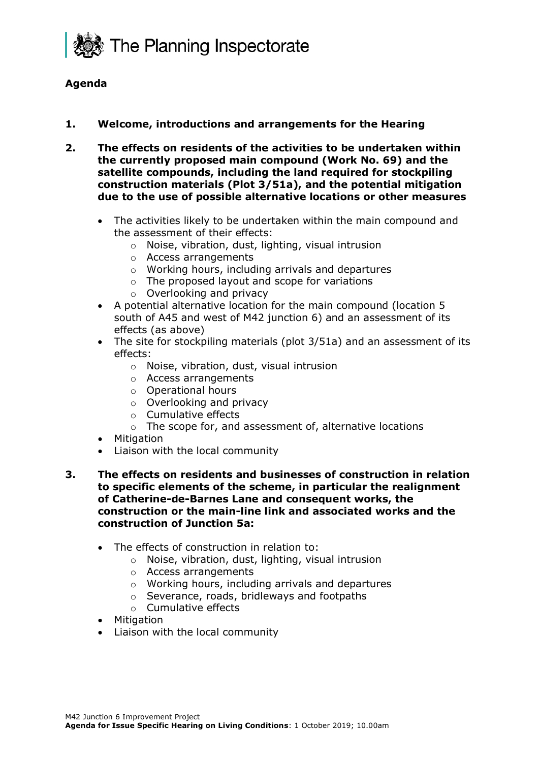

# **Agenda**

## **1. Welcome, introductions and arrangements for the Hearing**

- **2. The effects on residents of the activities to be undertaken within the currently proposed main compound (Work No. 69) and the satellite compounds, including the land required for stockpiling construction materials (Plot 3/51a), and the potential mitigation due to the use of possible alternative locations or other measures**
	- The activities likely to be undertaken within the main compound and the assessment of their effects:
		- o Noise, vibration, dust, lighting, visual intrusion
		- o Access arrangements
		- o Working hours, including arrivals and departures
		- o The proposed layout and scope for variations
		- o Overlooking and privacy
	- A potential alternative location for the main compound (location 5 south of A45 and west of M42 junction 6) and an assessment of its effects (as above)
	- The site for stockpiling materials (plot 3/51a) and an assessment of its effects:
		- o Noise, vibration, dust, visual intrusion
		- o Access arrangements
		- o Operational hours
		- o Overlooking and privacy
		- o Cumulative effects
		- o The scope for, and assessment of, alternative locations
	- **Mitigation**
	- Liaison with the local community
- **3. The effects on residents and businesses of construction in relation to specific elements of the scheme, in particular the realignment of Catherine-de-Barnes Lane and consequent works, the construction or the main-line link and associated works and the construction of Junction 5a:**
	- The effects of construction in relation to:
		- o Noise, vibration, dust, lighting, visual intrusion
		- o Access arrangements
		- o Working hours, including arrivals and departures
		- o Severance, roads, bridleways and footpaths
		- o Cumulative effects
	- Mitigation
	- Liaison with the local community